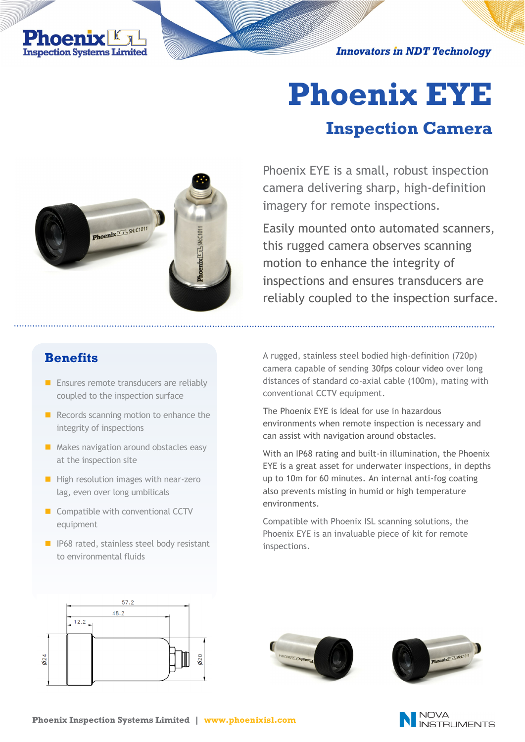**Innovators in NDT Technology** 



# **Phoenix EYE Inspection Camera**

# Phoenix  $K_{\text{max}}$  SN: C1011

Phoenix EYE is a small, robust inspection camera delivering sharp, high-definition imagery for remote inspections.

Easily mounted onto automated scanners, this rugged camera observes scanning motion to enhance the integrity of inspections and ensures transducers are reliably coupled to the inspection surface.

#### **Benefits**

- $\blacksquare$  Ensures remote transducers are reliably coupled to the inspection surface
- Records scanning motion to enhance the integrity of inspections
- Makes navigation around obstacles easy at the inspection site
- High resolution images with near-zero lag, even over long umbilicals
- Compatible with conventional CCTV equipment
- IP68 rated, stainless steel body resistant to environmental fluids

A rugged, stainless steel bodied high-definition (720p) camera capable of sending 30fps colour video over long distances of standard co-axial cable (100m), mating with conventional CCTV equipment.

The Phoenix EYE is ideal for use in hazardous environments when remote inspection is necessary and can assist with navigation around obstacles.

With an IP68 rating and built-in illumination, the Phoenix EYE is a great asset for underwater inspections, in depths up to 10m for 60 minutes. An internal anti-fog coating also prevents misting in humid or high temperature environments.

Compatible with Phoenix ISL scanning solutions, the Phoenix EYE is an invaluable piece of kit for remote inspections.